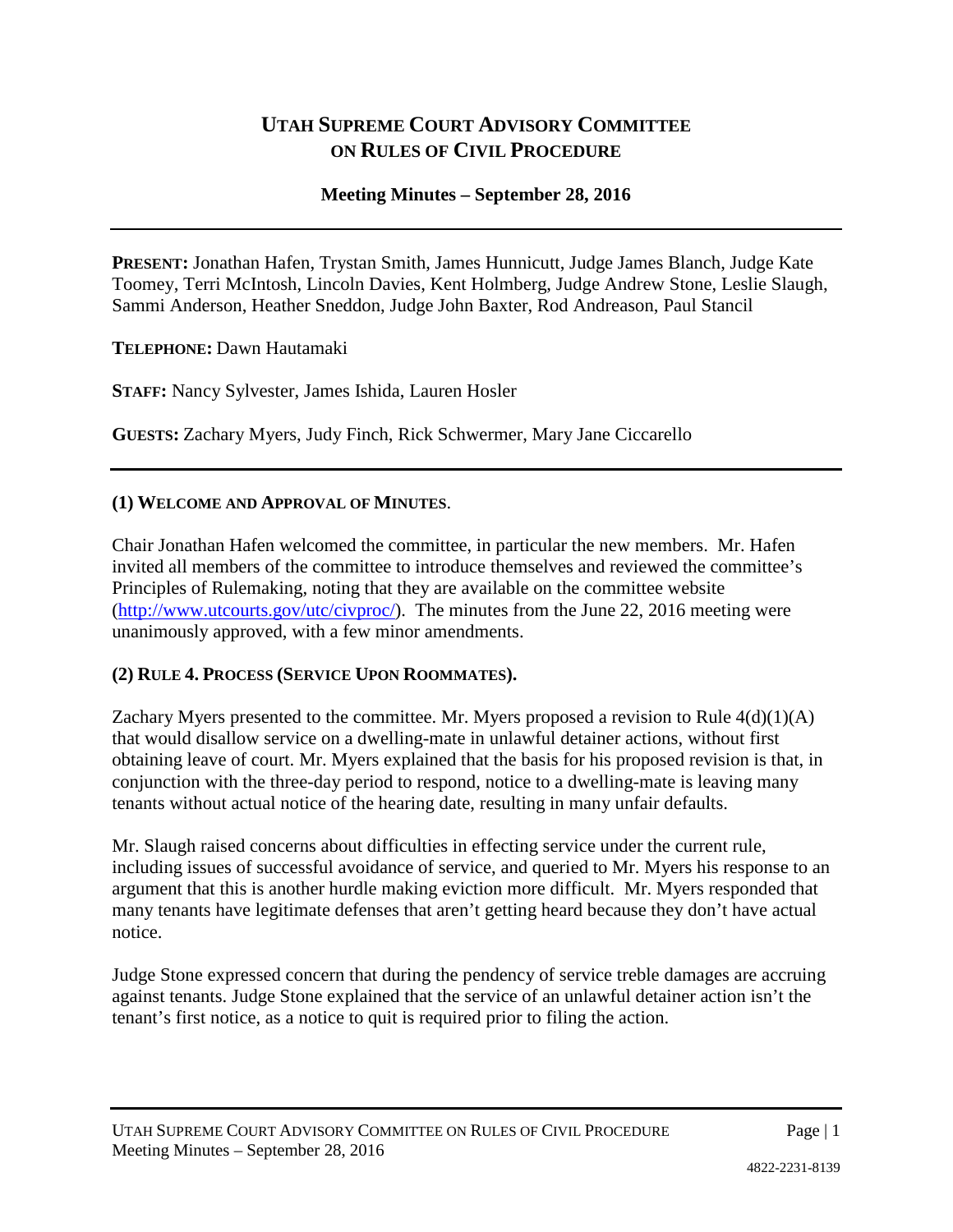# **UTAH SUPREME COURT ADVISORY COMMITTEE ON RULES OF CIVIL PROCEDURE**

### **Meeting Minutes – September 28, 2016**

**PRESENT:** Jonathan Hafen, Trystan Smith, James Hunnicutt, Judge James Blanch, Judge Kate Toomey, Terri McIntosh, Lincoln Davies, Kent Holmberg, Judge Andrew Stone, Leslie Slaugh, Sammi Anderson, Heather Sneddon, Judge John Baxter, Rod Andreason, Paul Stancil

**TELEPHONE:** Dawn Hautamaki

**STAFF:** Nancy Sylvester, James Ishida, Lauren Hosler

**GUESTS:** Zachary Myers, Judy Finch, Rick Schwermer, Mary Jane Ciccarello

#### **(1) WELCOME AND APPROVAL OF MINUTES**.

Chair Jonathan Hafen welcomed the committee, in particular the new members. Mr. Hafen invited all members of the committee to introduce themselves and reviewed the committee's Principles of Rulemaking, noting that they are available on the committee website [\(http://www.utcourts.gov/utc/civproc/\)](http://www.utcourts.gov/utc/civproc/). The minutes from the June 22, 2016 meeting were unanimously approved, with a few minor amendments.

#### **(2) RULE 4. PROCESS (SERVICE UPON ROOMMATES).**

Zachary Myers presented to the committee. Mr. Myers proposed a revision to Rule  $4(d)(1)(A)$ that would disallow service on a dwelling-mate in unlawful detainer actions, without first obtaining leave of court. Mr. Myers explained that the basis for his proposed revision is that, in conjunction with the three-day period to respond, notice to a dwelling-mate is leaving many tenants without actual notice of the hearing date, resulting in many unfair defaults.

Mr. Slaugh raised concerns about difficulties in effecting service under the current rule, including issues of successful avoidance of service, and queried to Mr. Myers his response to an argument that this is another hurdle making eviction more difficult. Mr. Myers responded that many tenants have legitimate defenses that aren't getting heard because they don't have actual notice.

Judge Stone expressed concern that during the pendency of service treble damages are accruing against tenants. Judge Stone explained that the service of an unlawful detainer action isn't the tenant's first notice, as a notice to quit is required prior to filing the action.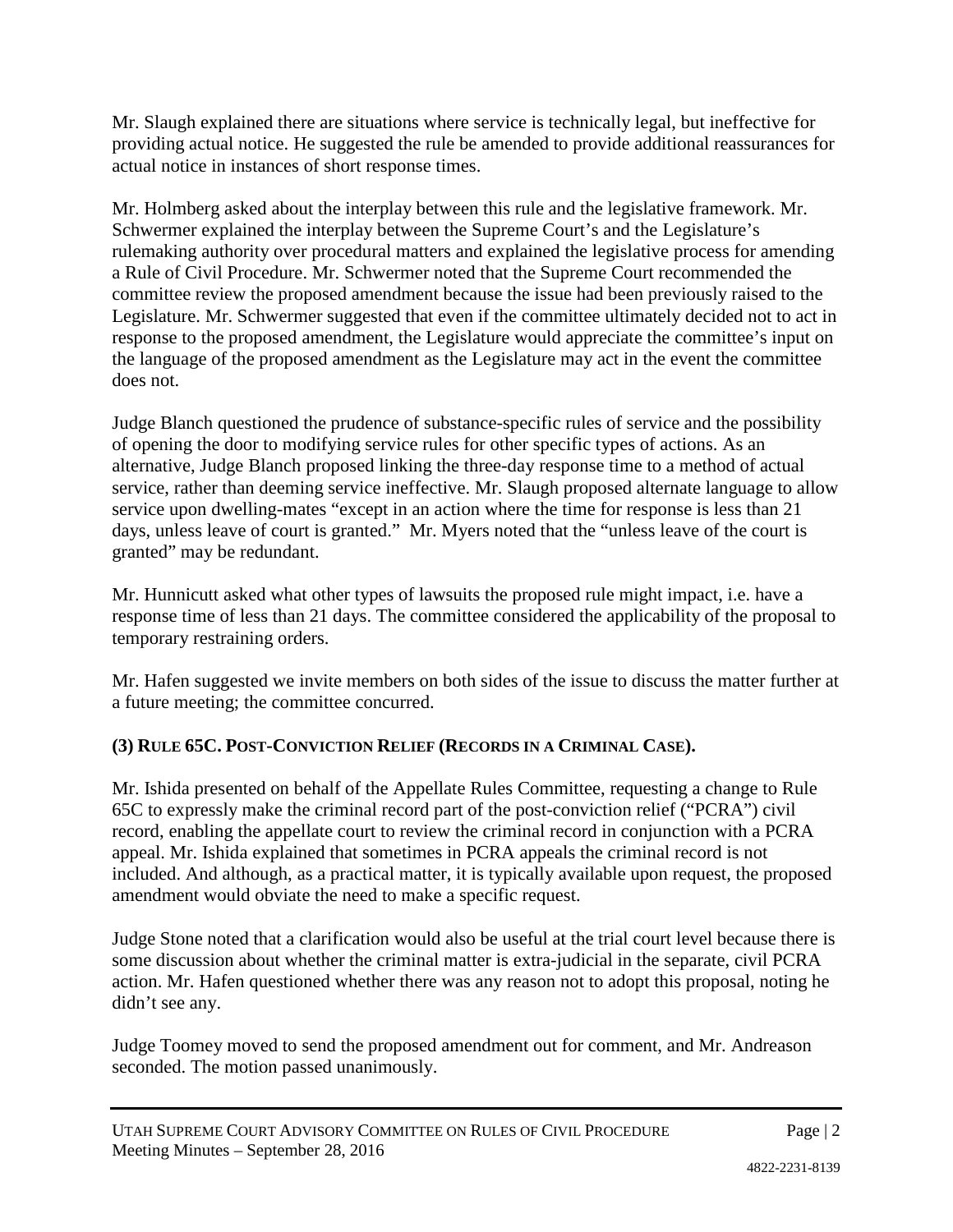Mr. Slaugh explained there are situations where service is technically legal, but ineffective for providing actual notice. He suggested the rule be amended to provide additional reassurances for actual notice in instances of short response times.

Mr. Holmberg asked about the interplay between this rule and the legislative framework. Mr. Schwermer explained the interplay between the Supreme Court's and the Legislature's rulemaking authority over procedural matters and explained the legislative process for amending a Rule of Civil Procedure. Mr. Schwermer noted that the Supreme Court recommended the committee review the proposed amendment because the issue had been previously raised to the Legislature. Mr. Schwermer suggested that even if the committee ultimately decided not to act in response to the proposed amendment, the Legislature would appreciate the committee's input on the language of the proposed amendment as the Legislature may act in the event the committee does not.

Judge Blanch questioned the prudence of substance-specific rules of service and the possibility of opening the door to modifying service rules for other specific types of actions. As an alternative, Judge Blanch proposed linking the three-day response time to a method of actual service, rather than deeming service ineffective. Mr. Slaugh proposed alternate language to allow service upon dwelling-mates "except in an action where the time for response is less than 21 days, unless leave of court is granted." Mr. Myers noted that the "unless leave of the court is granted" may be redundant.

Mr. Hunnicutt asked what other types of lawsuits the proposed rule might impact, i.e. have a response time of less than 21 days. The committee considered the applicability of the proposal to temporary restraining orders.

Mr. Hafen suggested we invite members on both sides of the issue to discuss the matter further at a future meeting; the committee concurred.

# **(3) RULE 65C. POST-CONVICTION RELIEF (RECORDS IN A CRIMINAL CASE).**

Mr. Ishida presented on behalf of the Appellate Rules Committee, requesting a change to Rule 65C to expressly make the criminal record part of the post-conviction relief ("PCRA") civil record, enabling the appellate court to review the criminal record in conjunction with a PCRA appeal. Mr. Ishida explained that sometimes in PCRA appeals the criminal record is not included. And although, as a practical matter, it is typically available upon request, the proposed amendment would obviate the need to make a specific request.

Judge Stone noted that a clarification would also be useful at the trial court level because there is some discussion about whether the criminal matter is extra-judicial in the separate, civil PCRA action. Mr. Hafen questioned whether there was any reason not to adopt this proposal, noting he didn't see any.

Judge Toomey moved to send the proposed amendment out for comment, and Mr. Andreason seconded. The motion passed unanimously.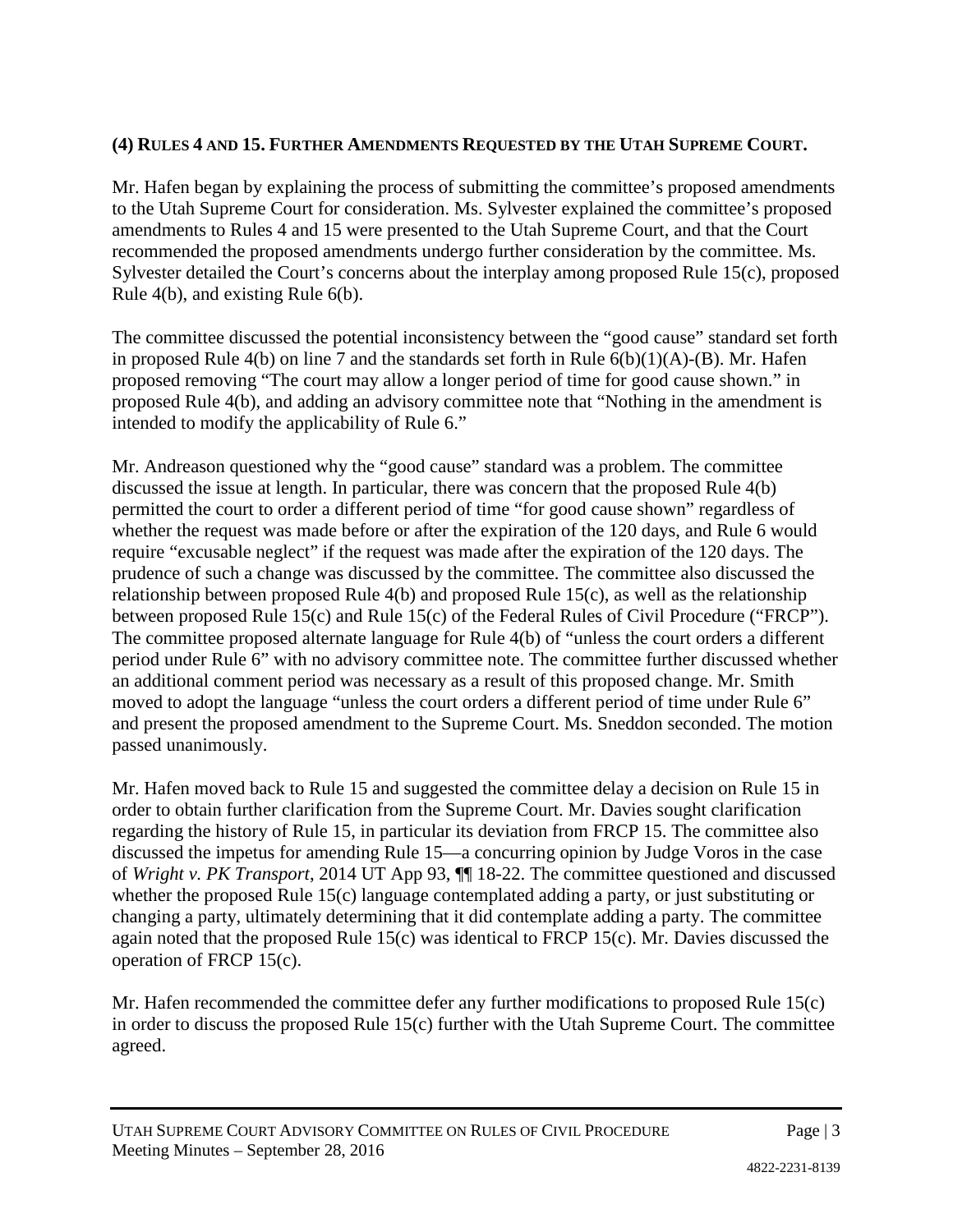## **(4) RULES 4 AND 15. FURTHER AMENDMENTS REQUESTED BY THE UTAH SUPREME COURT.**

Mr. Hafen began by explaining the process of submitting the committee's proposed amendments to the Utah Supreme Court for consideration. Ms. Sylvester explained the committee's proposed amendments to Rules 4 and 15 were presented to the Utah Supreme Court, and that the Court recommended the proposed amendments undergo further consideration by the committee. Ms. Sylvester detailed the Court's concerns about the interplay among proposed Rule 15(c), proposed Rule 4(b), and existing Rule 6(b).

The committee discussed the potential inconsistency between the "good cause" standard set forth in proposed Rule 4(b) on line 7 and the standards set forth in Rule  $6(b)(1)(A)$ -(B). Mr. Hafen proposed removing "The court may allow a longer period of time for good cause shown." in proposed Rule 4(b), and adding an advisory committee note that "Nothing in the amendment is intended to modify the applicability of Rule 6."

Mr. Andreason questioned why the "good cause" standard was a problem. The committee discussed the issue at length. In particular, there was concern that the proposed Rule 4(b) permitted the court to order a different period of time "for good cause shown" regardless of whether the request was made before or after the expiration of the 120 days, and Rule 6 would require "excusable neglect" if the request was made after the expiration of the 120 days. The prudence of such a change was discussed by the committee. The committee also discussed the relationship between proposed Rule 4(b) and proposed Rule 15(c), as well as the relationship between proposed Rule 15(c) and Rule 15(c) of the Federal Rules of Civil Procedure ("FRCP"). The committee proposed alternate language for Rule 4(b) of "unless the court orders a different period under Rule 6" with no advisory committee note. The committee further discussed whether an additional comment period was necessary as a result of this proposed change. Mr. Smith moved to adopt the language "unless the court orders a different period of time under Rule 6" and present the proposed amendment to the Supreme Court. Ms. Sneddon seconded. The motion passed unanimously.

Mr. Hafen moved back to Rule 15 and suggested the committee delay a decision on Rule 15 in order to obtain further clarification from the Supreme Court. Mr. Davies sought clarification regarding the history of Rule 15, in particular its deviation from FRCP 15. The committee also discussed the impetus for amending Rule 15—a concurring opinion by Judge Voros in the case of *Wright v. PK Transport*, 2014 UT App 93, ¶¶ 18-22. The committee questioned and discussed whether the proposed Rule 15(c) language contemplated adding a party, or just substituting or changing a party, ultimately determining that it did contemplate adding a party. The committee again noted that the proposed Rule 15(c) was identical to FRCP 15(c). Mr. Davies discussed the operation of FRCP 15(c).

Mr. Hafen recommended the committee defer any further modifications to proposed Rule 15(c) in order to discuss the proposed Rule 15(c) further with the Utah Supreme Court. The committee agreed.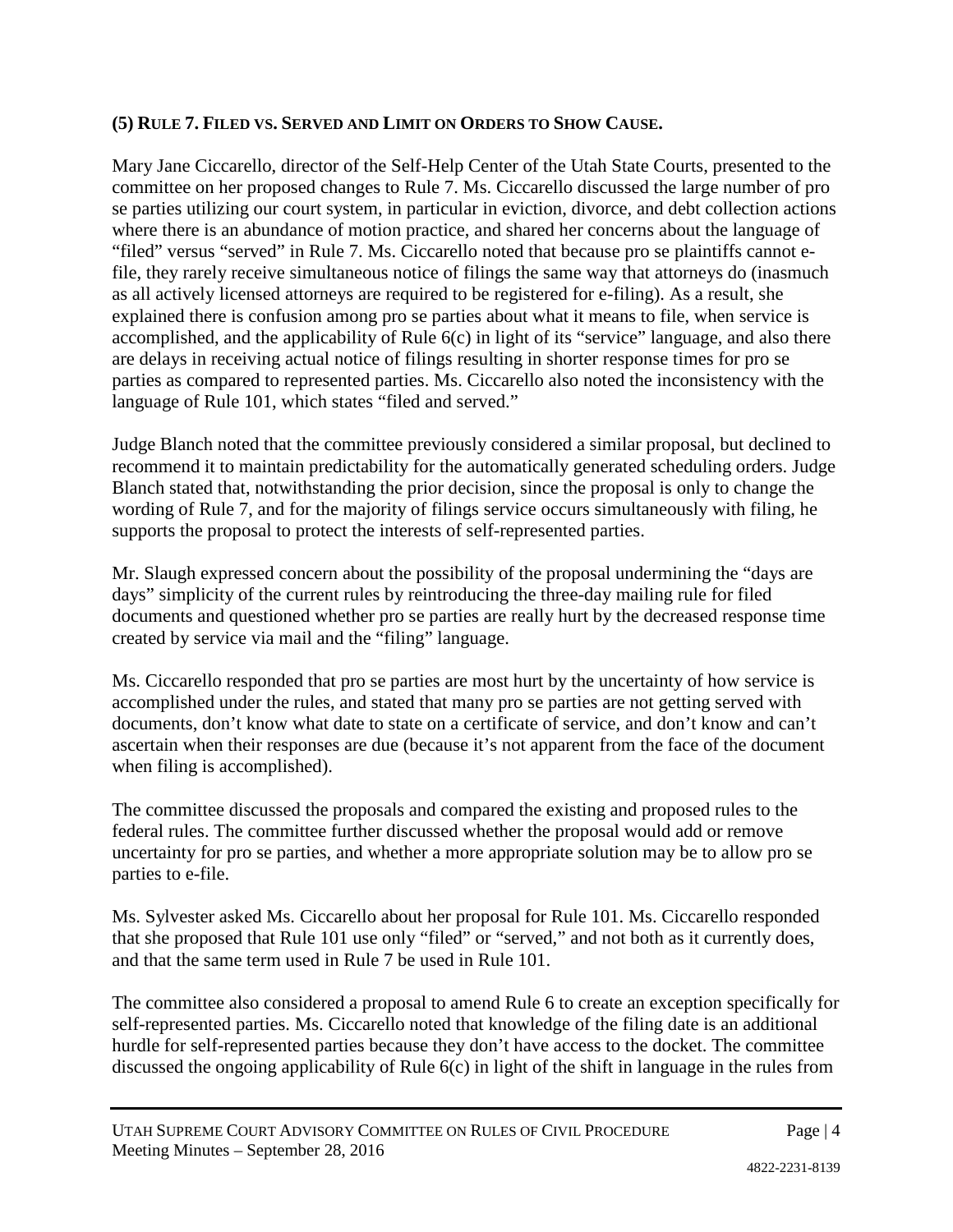### **(5) RULE 7. FILED VS. SERVED AND LIMIT ON ORDERS TO SHOW CAUSE.**

Mary Jane Ciccarello, director of the Self-Help Center of the Utah State Courts, presented to the committee on her proposed changes to Rule 7. Ms. Ciccarello discussed the large number of pro se parties utilizing our court system, in particular in eviction, divorce, and debt collection actions where there is an abundance of motion practice, and shared her concerns about the language of "filed" versus "served" in Rule 7. Ms. Ciccarello noted that because pro se plaintiffs cannot efile, they rarely receive simultaneous notice of filings the same way that attorneys do (inasmuch as all actively licensed attorneys are required to be registered for e-filing). As a result, she explained there is confusion among pro se parties about what it means to file, when service is accomplished, and the applicability of Rule  $6(c)$  in light of its "service" language, and also there are delays in receiving actual notice of filings resulting in shorter response times for pro se parties as compared to represented parties. Ms. Ciccarello also noted the inconsistency with the language of Rule 101, which states "filed and served."

Judge Blanch noted that the committee previously considered a similar proposal, but declined to recommend it to maintain predictability for the automatically generated scheduling orders. Judge Blanch stated that, notwithstanding the prior decision, since the proposal is only to change the wording of Rule 7, and for the majority of filings service occurs simultaneously with filing, he supports the proposal to protect the interests of self-represented parties.

Mr. Slaugh expressed concern about the possibility of the proposal undermining the "days are days" simplicity of the current rules by reintroducing the three-day mailing rule for filed documents and questioned whether pro se parties are really hurt by the decreased response time created by service via mail and the "filing" language.

Ms. Ciccarello responded that pro se parties are most hurt by the uncertainty of how service is accomplished under the rules, and stated that many pro se parties are not getting served with documents, don't know what date to state on a certificate of service, and don't know and can't ascertain when their responses are due (because it's not apparent from the face of the document when filing is accomplished).

The committee discussed the proposals and compared the existing and proposed rules to the federal rules. The committee further discussed whether the proposal would add or remove uncertainty for pro se parties, and whether a more appropriate solution may be to allow pro se parties to e-file.

Ms. Sylvester asked Ms. Ciccarello about her proposal for Rule 101. Ms. Ciccarello responded that she proposed that Rule 101 use only "filed" or "served," and not both as it currently does, and that the same term used in Rule 7 be used in Rule 101.

The committee also considered a proposal to amend Rule 6 to create an exception specifically for self-represented parties. Ms. Ciccarello noted that knowledge of the filing date is an additional hurdle for self-represented parties because they don't have access to the docket. The committee discussed the ongoing applicability of Rule 6(c) in light of the shift in language in the rules from